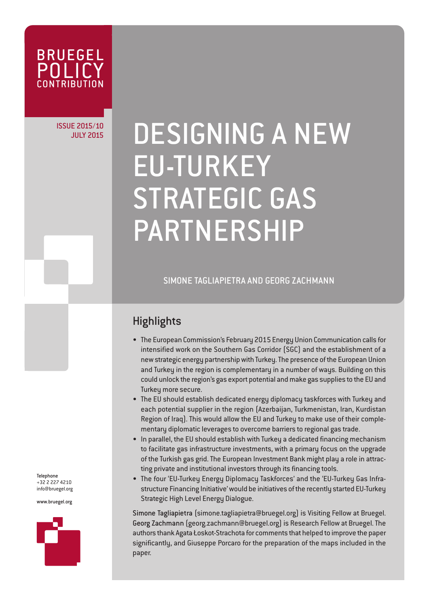

## ISSUE 2015/10

# JULY 2015/10 DESIGNING A NEW EU-TURKEY STRATEGIC GAS PARTNERSHIP

SIMONE TAGLIAPIETRA AND GEORG ZACHMANN

### **Highlights**

- The European Commission's February 2015 Energy Union Communication calls for intensified work on the Southern Gas Corridor (SGC) and the establishment of a new strategic energy partnership with Turkey. The presence of the European Union and Turkey in the region is complementary in a number of ways. Building on this could unlock the region's gas export potential and make gas supplies to the EU and Turkey more secure.
- The EU should establish dedicated energy diplomacy taskforces with Turkey and each potential supplier in the region (Azerbaijan, Turkmenistan, Iran, Kurdistan Region of Iraq). This would allow the EU and Turkey to make use of their complementary diplomatic leverages to overcome barriers to regional gas trade.
- In parallel, the EU should establish with Turkey a dedicated financing mechanism to facilitate gas infrastructure investments, with a primary focus on the upgrade of the Turkish gas grid. The European Investment Bank might play a role in attracting private and institutional investors through its financing tools.
- The four 'EU-Turkey Energy Diplomacy Taskforces' and the 'EU-Turkey Gas Infrastructure Financing Initiative' would be initiatives of the recently started EU-Turkey Strategic High Level Energy Dialogue.

Simone Tagliapietra (simone.tagliapietra@bruegel.org) is Visiting Fellow at Bruegel. Georg Zachmann (georg.zachmann@bruegel.org) is Research Fellow at Bruegel. The authors thank Agata Łoskot-Strachota for comments that helped to improve the paper significantly, and Giuseppe Porcaro for the preparation of the maps included in the paper.

Telephone +32 2 227 4210 info@bruegel.org

www.bruegel.org

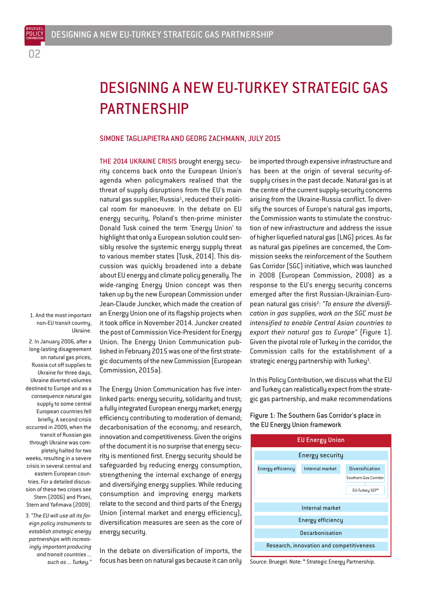BRUEGEL

## DESIGNING A NEW EU-TURKEY STRATEGIC GAS PARTNERSHIP

#### SIMONE TAGLIAPIETRA AND GEORG ZACHMANN, JULY 2015

THE 2014 UKRAINE CRISIS brought energy security concerns back onto the European Union's agenda when policymakers realised that the threat of supply disruptions from the EU's main natural gas supplier, Russia<sup>1</sup>, reduced their political room for manoeuvre. In the debate on EU energy security, Poland's then-prime minister Donald Tusk coined the term 'Energy Union' to highlight that only a European solution could sensibly resolve the systemic energy supply threat to various member states (Tusk, 2014). This discussion was quickly broadened into a debate about EU energy and climate policy generally. The wide-ranging Energy Union concept was then taken up by the new European Commission under Jean-Claude Juncker, which made the creation of an Energy Union one of its flagship projects when it took office in November 2014. Juncker created the post of Commission Vice-President for Energy Union. The Energy Union Communication published in February 2015 was one of the first strategic documents of the new Commission (European Commission, 2015a).

1. And the most important non-EU transit country, Ukraine.

2. In January 2006, after a

long-lasting disagreement on natural gas prices, Russia cut off supplies to Ukraine for three days, Ukraine diverted volumes destined to Europe and as a consequence natural gas supply to some central European countries fell briefly. A second crisis occurred in 2009, when the transit of Russian gas through Ukraine was completely halted for two weeks, resulting in a severe crisis in several central and eastern European countries. For a detailed discussion of these two crises see Stern (2006) and Pirani, Stern and Yafimava (2009).

3. *"The EU will use all its foreign policy instruments to establish strategic energy partnerships with increasingly important producing and transit countries ... such as ... Turkey."* The Energy Union Communication has five interlinked parts: energy security, solidarity and trust; a fully integrated European energy market; energy efficiency contributing to moderation of demand; decarbonisation of the economy; and research, innovation and competitiveness. Given the origins of the document it is no surprise that energy security is mentioned first. Energy security should be safeguarded by reducing energy consumption, strengthening the internal exchange of energy and diversifying energy supplies. While reducing consumption and improving energy markets relate to the second and third parts of the Energy Union (internal market and energy efficiency), diversification measures are seen as the core of energy security.

In the debate on diversification of imports, the focus has been on natural gas because it can only be imported through expensive infrastructure and has been at the origin of several security-ofsupply crises in the past decade. Natural gas is at the centre of the current supply-security concerns arising from the Ukraine-Russia conflict. To diversify the sources of Europe's natural gas imports, the Commission wants to stimulate the construction of new infrastructure and address the issue of higher liquefied natural gas (LNG) prices. As far as natural gas pipelines are concerned, the Commission seeks the reinforcement of the Southern Gas Corridor (SGC) initiative, which was launched in 2008 (European Commission, 2008) as a response to the EU's energy security concerns emerged after the first Russian-Ukrainian-European natural gas crisis<sup>2</sup>: "To ensure the diversifi*cation in gas supplies, work on the SGC must be intensified to enable Central Asian countries to export their natural gas to Europe"* (Figure 1). Given the pivotal role of Turkey in the corridor, the Commission calls for the establishment of a strategic energy partnership with Turkey<sup>3</sup>.

In this Policy Contribution, we discuss what the EU and Turkey can realistically expect from the strategic gas partnership, and make recommendations



Figure 1: The Southern Gas Corridor's place in the EU Energy Union framework

Source: Bruegel. Note: \* Strategic Energy Partnership.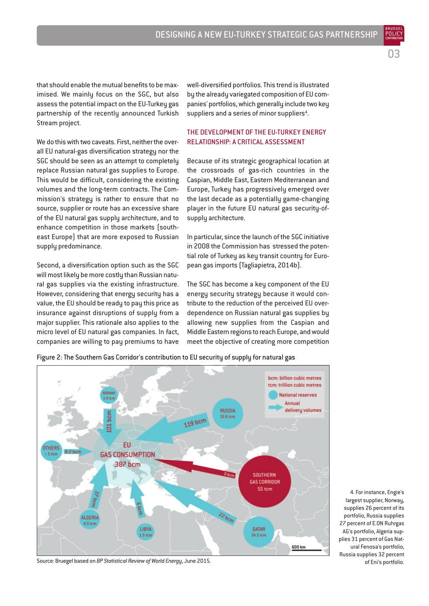03

BRUEGEL

that should enable the mutual benefits to be maximised. We mainly focus on the SGC, but also assess the potential impact on the EU-Turkey gas partnership of the recently announced Turkish Stream project.

We do this with two caveats. First, neither the overall EU natural-gas diversification strategy nor the SGC should be seen as an attempt to completely replace Russian natural gas supplies to Europe. This would be difficult, considering the existing volumes and the long-term contracts. The Commission's strategy is rather to ensure that no source, supplier or route has an excessive share of the EU natural gas supply architecture, and to enhance competition in those markets (southeast Europe) that are more exposed to Russian supply predominance.

Second, a diversification option such as the SGC will most likely be more costly than Russian natural gas supplies via the existing infrastructure. However, considering that energy security has a value, the EU should be ready to pay this price as insurance against disruptions of supply from a major supplier. This rationale also applies to the micro level of EU natural gas companies. In fact, companies are willing to pay premiums to have

well-diversified portfolios. This trend is illustrated by the already variegated composition of EU companies' portfolios, which generally include two key suppliers and a series of minor suppliers<sup>4</sup>.

#### THE DEVELOPMENT OF THE EU-TURKEY ENERGY RELATIONSHIP: A CRITICAL ASSESSMENT

Because of its strategic geographical location at the crossroads of gas-rich countries in the Caspian, Middle East, Eastern Mediterranean and Europe, Turkey has progressively emerged over the last decade as a potentially game-changing player in the future EU natural gas security-ofsupply architecture.

In particular, since the launch of the SGC initiative in 2008 the Commission has stressed the potential role of Turkey as key transit country for European gas imports (Tagliapietra, 2014b).

The SGC has become a key component of the EU energy security strategy because it would contribute to the reduction of the perceived EU overdependence on Russian natural gas supplies by allowing new supplies from the Caspian and Middle Eastern regions to reach Europe, and would meet the objective of creating more competition



Figure 2: The Southern Gas Corridor's contribution to EU security of supply for natural gas

Source: Bruegel based on *BP Statistical Review of World Energy*, June 2015.

<sup>4.</sup> For instance, Engie's largest supplier, Norway, supplies 26 percent of its portfolio, Russia supplies 27 percent of E.ON Ruhrgas AG's portfolio, Algeria supplies 31 percent of Gas Natural Fenosa's portfolio, Russia supplies 32 percent of Eni's portfolio.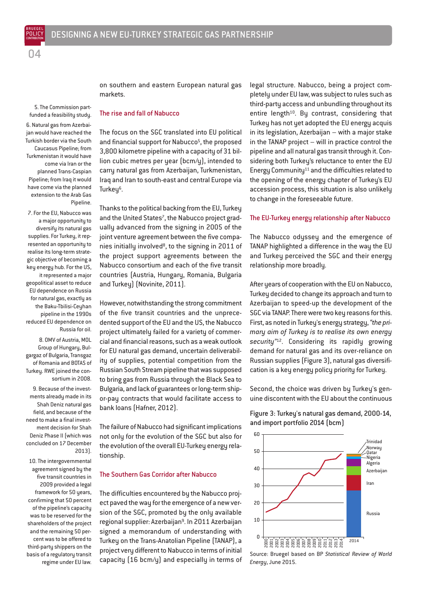POLICY

5. The Commission partfunded a feasibility study. 6. Natural gas from Azerbaijan would have reached the Turkish border via the South Caucasus Pipeline; from Turkmenistan it would have come via Iran or the planned Trans-Caspian Pipeline; from Iraq it would have come via the planned extension to the Arab Gas Pipeline.

7. For the EU, Nabucco was a major opportunity to diversify its natural gas supplies. For Turkey, it represented an opportunity to realise its long-term strategic objective of becoming a key energy hub. For the US, it represented a major geopolitical asset to reduce EU dependence on Russia for natural gas, exactly as the Baku-Tbilisi-Ceyhan pipeline in the 1990s reduced EU dependence on Russia for oil.

8. OMV of Austria, MOL Group of Hungary, Bulgargaz of Bulgaria, Transgaz of Romania and BOTAS of Turkey. RWE joined the consortium in 2008.

9. Because of the investments already made in its Shah Deniz natural gas field, and because of the need to make a final investment decision for Shah Deniz Phase II (which was concluded on 17 December 2013).

10. The intergovernmental agreement signed by the five transit countries in 2009 provided a legal framework for 50 years, confirming that 50 percent of the pipeline's capacity was to be reserved for the shareholders of the project and the remaining 50 percent was to be offered to third-party shippers on the basis of a regulatory transit regime under EU law.

#### The rise and fall of Nabucco

markets.

The focus on the SGC translated into EU political and financial support for Nabucco<sup>5</sup>, the proposed 3,800 kilometre pipeline with a capacity of 31 billion cubic metres per year (bcm/y), intended to carry natural gas from Azerbaijan, Turkmenistan, Iraq and Iran to south-east and central Europe via Turkeu<sup>6</sup>.

on southern and eastern European natural gas

Thanks to the political backing from the EU, Turkey and the United States<sup>7</sup>, the Nabucco project gradually advanced from the signing in 2005 of the joint venture agreement between the five companies initially involved<sup>8</sup>, to the signing in 2011 of the project support agreements between the Nabucco consortium and each of the five transit countries (Austria, Hungary, Romania, Bulgaria and Turkey) (Novinite, 2011).

However, notwithstanding the strong commitment of the five transit countries and the unprecedented support of the EU and the US, the Nabucco project ultimately failed for a variety of commercial and financial reasons, such as a weak outlook for EU natural gas demand, uncertain deliverability of supplies, potential competition from the Russian South Stream pipeline that was supposed to bring gas from Russia through the Black Sea to Bulgaria, and lack of guarantees or long-term shipor-pay contracts that would facilitate access to bank loans (Hafner, 2012).

The failure of Nabucco had significant implications not only for the evolution of the SGC but also for the evolution of the overall EU-Turkey energy relationship.

#### The Southern Gas Corridor after Nabucco

The difficulties encountered by the Nabucco project paved the way for the emergence of a new version of the SGC, promoted by the only available regional supplier: Azerbaijan<sup>9</sup>. In 2011 Azerbaijan signed a memorandum of understanding with Turkey on the Trans-Anatolian Pipeline (TANAP), a project very different to Nabucco in terms of initial capacity (16 bcm/y) and especially in terms of legal structure. Nabucco, being a project completely under EU law, was subject to rules such as third-party access and unbundling throughout its entire length<sup>10</sup>. By contrast, considering that Turkey has not yet adopted the EU energy acquis in its legislation, Azerbaijan – with a major stake in the TANAP project – will in practice control the pipeline and all natural gas transit through it. Considering both Turkey's reluctance to enter the EU Energy Community<sup>11</sup> and the difficulties related to the opening of the energy chapter of Turkey's EU accession process, this situation is also unlikely to change in the foreseeable future.

#### The EU-Turkey energy relationship after Nabucco

The Nabucco odyssey and the emergence of TANAP highlighted a difference in the way the EU and Turkey perceived the SGC and their energy relationship more broadly.

After years of cooperation with the EU on Nabucco, Turkey decided to change its approach and turn to Azerbaijan to speed-up the development of the SGC via TANAP. There were two key reasons for this. First, as noted in Turkey's energy strategy, *"the primary aim of Turkey is to realise its own energy security"*12. Considering its rapidly growing demand for natural gas and its over-reliance on Russian supplies (Figure 3), natural gas diversification is a key energy policy priority for Turkey.

Second, the choice was driven by Turkey's genuine discontent with the EU about the continuous

Figure 3: Turkey's natural gas demand, 2000-14, and import portfolio 2014 (bcm)



Source: Bruegel based on BP *Statistical Review of World Energy*, June 2015.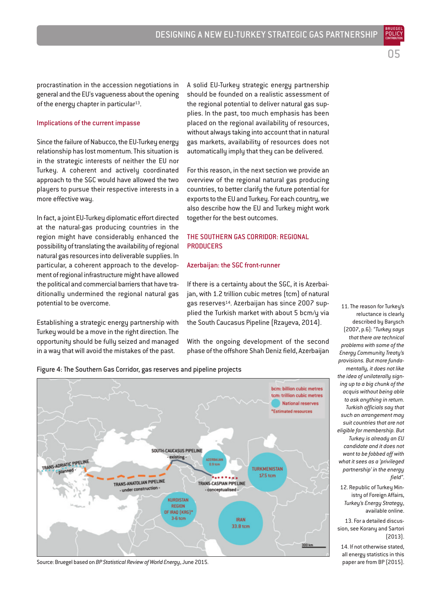procrastination in the accession negotiations in general and the EU's vagueness about the opening of the energy chapter in particular<sup>13</sup>.

#### Implications of the current impasse

Since the failure of Nabucco, the EU-Turkey energy relationship has lost momentum. This situation is in the strategic interests of neither the EU nor Turkey. A coherent and actively coordinated approach to the SGC would have allowed the two players to pursue their respective interests in a more effective way.

In fact, a joint EU-Turkey diplomatic effort directed at the natural-gas producing countries in the region might have considerably enhanced the possibility of translating the availability of regional natural gas resources into deliverable supplies. In particular, a coherent approach to the development of regional infrastructure might have allowed the political and commercial barriers that have traditionally undermined the regional natural gas potential to be overcome.

Establishing a strategic energy partnership with Turkey would be a move in the right direction. The opportunity should be fully seized and managed in a way that will avoid the mistakes of the past.

Figure 4: The Southern Gas Corridor, gas reserves and pipeline projects

A solid EU-Turkey strategic energy partnership should be founded on a realistic assessment of the regional potential to deliver natural gas supplies. In the past, too much emphasis has been placed on the regional availability of resources, without always taking into account that in natural gas markets, availability of resources does not automatically imply that they can be delivered.

For this reason, in the next section we provide an overview of the regional natural gas producing countries, to better clarify the future potential for exports to the EU and Turkey. For each country, we also describe how the EU and Turkey might work together for the best outcomes.

#### THE SOUTHERN GAS CORRIDOR: REGIONAL **PRODUCERS**

#### Azerbaijan: the SGC front-runner

If there is a certainty about the SGC, it is Azerbaijan, with 1.2 trillion cubic metres (tcm) of natural gas reserves<sup>14</sup>. Azerbaijan has since 2007 supplied the Turkish market with about 5 bcm/u via the South Caucasus Pipeline (Rzayeva, 2014).

With the ongoing development of the second phase of the offshore Shah Deniz field, Azerbaijan



Source: Bruegel based on *BP Statistical Review of World Energy*, June 2015.

11. The reason for Turkey's reluctance is clearly described by Barysch (2007, p.6): *"Turkey says that there are technical problems with some of the Energy Community Treaty's provisions. But more fundamentally, it does not like the idea of unilaterally signing up to a big chunk of the acquis without being able to ask anything in return. Turkish officials say that such an arrangement may suit countries that are not eligible for membership. But Turkey is already an EU candidate and it does not want to be fobbed off with what it sees as a 'privileged partnership' in the energy field"*.

POLICY **CONTRIBUTION** 

05

12. Republic of Turkey Ministry of Foreign Affairs, *Turkey's Energy Strategy*, available online.

13. For a detailed discussion, see Korany and Sartori (2013).

14. If not otherwise stated, all energy statistics in this paper are from BP (2015).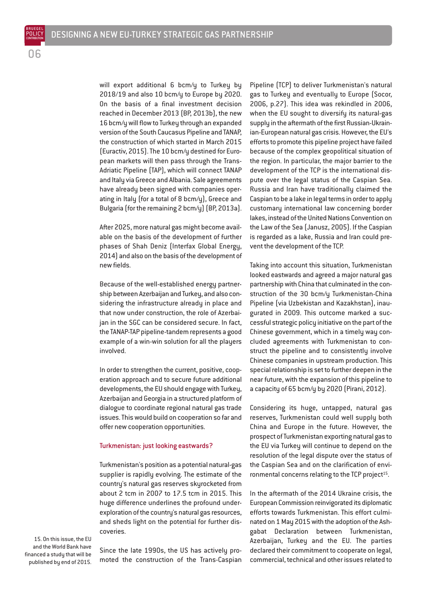will export additional 6 bcm/y to Turkey by 2018/19 and also 10 bcm/y to Europe by 2020. On the basis of a final investment decision reached in December 2013 (BP, 2013b), the new 16 bcm/y will flow to Turkey through an expanded version of the South Caucasus Pipeline and TANAP, the construction of which started in March 2015 (Euractiv, 2015). The 10 bcm/y destined for European markets will then pass through the Trans-Adriatic Pipeline (TAP), which will connect TANAP and Italy via Greece and Albania. Sale agreements have already been signed with companies operating in Italy (for a total of 8 bcm/y), Greece and Bulgaria (for the remaining 2 bcm/y) (BP, 2013a).

After 2025, more natural gas might become available on the basis of the development of further phases of Shah Deniz (Interfax Global Energy, 2014) and also on the basis of the development of new fields.

Because of the well-established energy partnership between Azerbaijan and Turkey, and also considering the infrastructure already in place and that now under construction, the role of Azerbaijan in the SGC can be considered secure. In fact, the TANAP-TAP pipeline-tandem represents a good example of a win-win solution for all the players involved.

In order to strengthen the current, positive, cooperation approach and to secure future additional developments, the EU should engage with Turkey, Azerbaijan and Georgia in a structured platform of dialogue to coordinate regional natural gas trade issues. This would build on cooperation so far and offer new cooperation opportunities.

#### Turkmenistan: just looking eastwards?

Turkmenistan's position as a potential natural-gas supplier is rapidly evolving. The estimate of the country's natural gas reserves skyrocketed from about 2 tcm in 2007 to 17.5 tcm in 2015. This huge difference underlines the profound underexploration of the country's natural gas resources, and sheds light on the potential for further discoveries.

15. On this issue, the EU and the World Bank have financed a study that will be published by end of 2015.

Since the late 1990s, the US has actively promoted the construction of the Trans-Caspian Pipeline (TCP) to deliver Turkmenistan's natural gas to Turkey and eventually to Europe (Socor, 2006, p.27). This idea was rekindled in 2006, when the EU sought to diversify its natural-gas supply in the aftermath of the first Russian-Ukrainian-European natural gas crisis. However, the EU's efforts to promote this pipeline project have failed because of the complex geopolitical situation of the region. In particular, the major barrier to the development of the TCP is the international dispute over the legal status of the Caspian Sea. Russia and Iran have traditionally claimed the Caspian to be a lake in legal terms in order to apply customary international law concerning border lakes, instead of the United Nations Convention on the Law of the Sea (Janusz, 2005). If the Caspian is regarded as a lake, Russia and Iran could prevent the development of the TCP.

Taking into account this situation, Turkmenistan looked eastwards and agreed a major natural gas partnership with China that culminated in the construction of the 30 bcm/y Turkmenistan-China Pipeline (via Uzbekistan and Kazakhstan), inaugurated in 2009. This outcome marked a successful strategic policy initiative on the part of the Chinese government, which in a timely way concluded agreements with Turkmenistan to construct the pipeline and to consistently involve Chinese companies in upstream production. This special relationship is set to further deepen in the near future, with the expansion of this pipeline to a capacity of 65 bcm/y by 2020 (Pirani, 2012).

Considering its huge, untapped, natural gas reserves, Turkmenistan could well supply both China and Europe in the future. However, the prospect of Turkmenistan exporting natural gas to the EU via Turkey will continue to depend on the resolution of the legal dispute over the status of the Caspian Sea and on the clarification of environmental concerns relating to the TCP project<sup>15</sup>.

In the aftermath of the 2014 Ukraine crisis, the European Commission reinvigorated its diplomatic efforts towards Turkmenistan. This effort culminated on 1 May 2015 with the adoption of the Ashgabat Declaration between Turkmenistan, Azerbaijan, Turkey and the EU. The parties declared their commitment to cooperate on legal, commercial, technical and other issues related to

06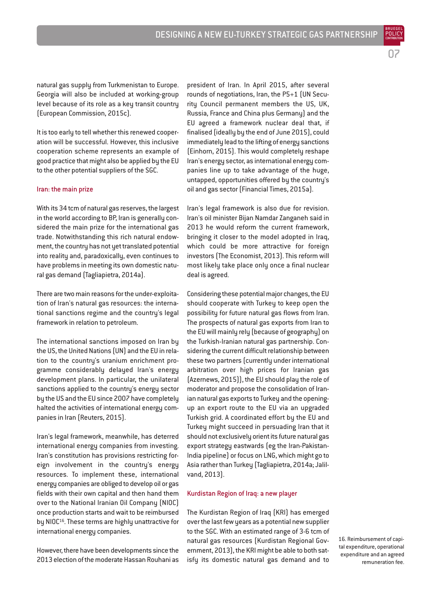natural gas supply from Turkmenistan to Europe. Georgia will also be included at working-group level because of its role as a key transit country (European Commission, 2015c).

It is too early to tell whether this renewed cooperation will be successful. However, this inclusive cooperation scheme represents an example of good practice that might also be applied by the EU to the other potential suppliers of the SGC.

#### Iran: the main prize

With its 34 tcm of natural gas reserves, the largest in the world according to BP, Iran is generally considered the main prize for the international gas trade. Notwithstanding this rich natural endowment, the country has not yet translated potential into reality and, paradoxically, even continues to have problems in meeting its own domestic natural gas demand (Tagliapietra, 2014a).

There are two main reasons for the under-exploitation of Iran's natural gas resources: the international sanctions regime and the country's legal framework in relation to petroleum.

The international sanctions imposed on Iran by the US, the United Nations (UN) and the EU in relation to the country's uranium enrichment programme considerably delayed Iran's energy development plans. In particular, the unilateral sanctions applied to the country's energy sector by the US and the EU since 2007 have completely halted the activities of international energy companies in Iran (Reuters, 2015).

Iran's legal framework, meanwhile, has deterred international energy companies from investing. Iran's constitution has provisions restricting foreign involvement in the country's energy resources. To implement these, international energy companies are obliged to develop oil or gas fields with their own capital and then hand them over to the National Iranian Oil Company (NIOC) once production starts and wait to be reimbursed by NIOC<sup>16</sup>. These terms are highly unattractive for international energy companies.

However, there have been developments since the 2013 election of the moderate Hassan Rouhani as

president of Iran. In April 2015, after several rounds of negotiations, Iran, the P5+1 (UN Security Council permanent members the US, UK, Russia, France and China plus Germany) and the EU agreed a framework nuclear deal that, if finalised (ideally by the end of June 2015), could immediately lead to the lifting of energy sanctions (Einhorn, 2015). This would completely reshape Iran's energy sector, as international energy companies line up to take advantage of the huge, untapped, opportunities offered by the country's oil and gas sector (Financial Times, 2015a).

Iran's legal framework is also due for revision. Iran's oil minister Bijan Namdar Zanganeh said in 2013 he would reform the current framework, bringing it closer to the model adopted in Iraq, which could be more attractive for foreign investors (The Economist, 2013). This reform will most likely take place only once a final nuclear deal is agreed.

Considering these potential major changes, the EU should cooperate with Turkey to keep open the possibility for future natural gas flows from Iran. The prospects of natural gas exports from Iran to the EU will mainly rely (because of geography) on the Turkish-Iranian natural gas partnership. Considering the current difficult relationship between these two partners (currently under international arbitration over high prices for Iranian gas (Azernews, 2015)), the EU should play the role of moderator and propose the consolidation of Iranian natural gas exports to Turkey and the openingup an export route to the EU via an upgraded Turkish grid. A coordinated effort by the EU and Turkey might succeed in persuading Iran that it should not exclusively orient its future natural gas export strategy eastwards (eg the Iran-Pakistan-India pipeline) or focus on LNG, which might go to Asia rather than Turkey (Tagliapietra, 2014a; Jalilvand, 2013).

#### Kurdistan Region of Iraq: a new player

The Kurdistan Region of Iraq (KRI) has emerged over the last few years as a potential new supplier to the SGC. With an estimated range of 3-6 tcm of natural gas resources (Kurdistan Regional Government, 2013), the KRI might be able to both satisfy its domestic natural gas demand and to

16. Reimbursement of capital expenditure, operational expenditure and an agreed remuneration fee.

07 BRUEGEL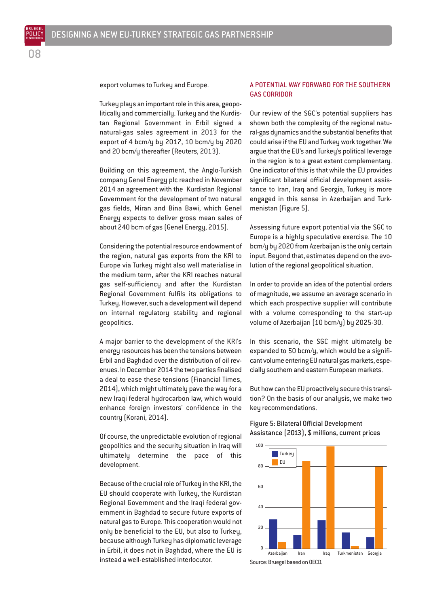BRUEGEL POLICY

export volumes to Turkey and Europe.

Turkey plays an important role in this area, geopolitically and commercially. Turkey and the Kurdistan Regional Government in Erbil signed a natural-gas sales agreement in 2013 for the export of 4 bcm/y by 2017, 10 bcm/y by 2020 and 20 bcm/y thereafter (Reuters, 2013).

Building on this agreement, the Anglo-Turkish company Genel Energy plc reached in November 2014 an agreement with the Kurdistan Regional Government for the development of two natural gas fields, Miran and Bina Bawi, which Genel Energy expects to deliver gross mean sales of about 240 bcm of gas (Genel Energy, 2015).

Considering the potential resource endowment of the region, natural gas exports from the KRI to Europe via Turkey might also well materialise in the medium term, after the KRI reaches natural gas self-sufficiency and after the Kurdistan Regional Government fulfils its obligations to Turkey. However, such a development will depend on internal regulatory stability and regional geopolitics.

A major barrier to the development of the KRI's energy resources has been the tensions between Erbil and Baghdad over the distribution of oil revenues. In December 2014 the two parties finalised a deal to ease these tensions (Financial Times, 2014), which might ultimately pave the way for a new Iraqi federal hydrocarbon law, which would enhance foreign investors' confidence in the country (Korani, 2014).

Of course, the unpredictable evolution of regional geopolitics and the security situation in Iraq will ultimately determine the pace of this development.

Because of the crucial role of Turkey in the KRI, the EU should cooperate with Turkey, the Kurdistan Regional Government and the Iraqi federal government in Baghdad to secure future exports of natural gas to Europe. This cooperation would not only be beneficial to the EU, but also to Turkey, because although Turkey has diplomatic leverage in Erbil, it does not in Baghdad, where the EU is instead a well-established interlocutor.

#### A POTENTIAL WAY FORWARD FOR THE SOUTHERN GAS CORRIDOR

Our review of the SGC's potential suppliers has shown both the complexity of the regional natural-gas dynamics and the substantial benefits that could arise if the EU and Turkey work together. We argue that the EU's and Turkey's political leverage in the region is to a great extent complementary. One indicator of this is that while the EU provides significant bilateral official development assistance to Iran, Iraq and Georgia, Turkey is more engaged in this sense in Azerbaijan and Turkmenistan (Figure 5).

Assessing future export potential via the SGC to Europe is a highly speculative exercise. The 10 bcm/y by 2020 from Azerbaijan is the only certain input. Beyond that, estimates depend on the evolution of the regional geopolitical situation.

In order to provide an idea of the potential orders of magnitude, we assume an average scenario in which each prospective supplier will contribute with a volume corresponding to the start-up volume of Azerbaijan (10 bcm/y) by 2025-30.

In this scenario, the SGC might ultimately be expanded to 50 bcm/y, which would be a significant volume entering EU natural gas markets, especially southern and eastern European markets.

But how can the EU proactively secure this transition? On the basis of our analysis, we make two key recommendations.

#### Figure 5: Bilateral Official Development Assistance (2013), \$ millions, current prices



Source: Bruegel based on OECD.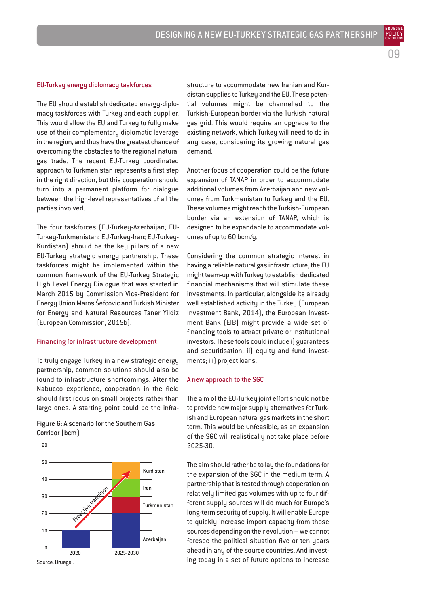BRUEGEL

#### EU-Turkey energy diplomacy taskforces

The EU should establish dedicated energy-diplomacy taskforces with Turkey and each supplier. This would allow the EU and Turkey to fully make use of their complementary diplomatic leverage in the region, and thus have the greatest chance of overcoming the obstacles to the regional natural gas trade. The recent EU-Turkey coordinated approach to Turkmenistan represents a first step in the right direction, but this cooperation should turn into a permanent platform for dialogue between the high-level representatives of all the parties involved.

The four taskforces (EU-Turkey-Azerbaijan; EU-Turkey-Turkmenistan; EU-Turkey-Iran; EU-Turkey-Kurdistan) should be the key pillars of a new EU-Turkey strategic energy partnership. These taskforces might be implemented within the common framework of the EU-Turkey Strategic High Level Energy Dialogue that was started in March 2015 by Commission Vice-President for Energy Union Maros Šefcovic and Turkish Minister for Energy and Natural Resources Taner Yildiz (European Commission, 2015b).

#### Financing for infrastructure development

To truly engage Turkey in a new strategic energy partnership, common solutions should also be found to infrastructure shortcomings. After the Nabucco experience, cooperation in the field should first focus on small projects rather than large ones. A starting point could be the infra-

Figure 6: A scenario for the Southern Gas Corridor (bcm)



Source: Bruegel.

structure to accommodate new Iranian and Kurdistan supplies to Turkey and the EU. These potential volumes might be channelled to the Turkish-European border via the Turkish natural gas grid. This would require an upgrade to the existing network, which Turkey will need to do in any case, considering its growing natural gas demand.

Another focus of cooperation could be the future expansion of TANAP in order to accommodate additional volumes from Azerbaijan and new volumes from Turkmenistan to Turkey and the EU. These volumes might reach the Turkish-European border via an extension of TANAP, which is designed to be expandable to accommodate volumes of up to 60 bcm/y.

Considering the common strategic interest in having a reliable natural gas infrastructure, the EU might team-up with Turkey to establish dedicated financial mechanisms that will stimulate these investments. In particular, alongside its already well established activity in the Turkey (European Investment Bank, 2014), the European Investment Bank (EIB) might provide a wide set of financing tools to attract private or institutional investors. These tools could include i) guarantees and securitisation; ii) equity and fund investments; iii) project loans.

#### A new approach to the SGC

The aim of the EU-Turkey joint effort should not be to provide new major supply alternatives for Turkish and European natural gas markets in the short term. This would be unfeasible, as an expansion of the SGC will realistically not take place before 2025-30.

The aim should rather be to lay the foundations for the expansion of the SGC in the medium term. A partnership that is tested through cooperation on relatively limited gas volumes with up to four different supply sources will do much for Europe's long-term security of supply. It will enable Europe to quickly increase import capacity from those sources depending on their evolution – we cannot foresee the political situation five or ten years ahead in any of the source countries. And investing today in a set of future options to increase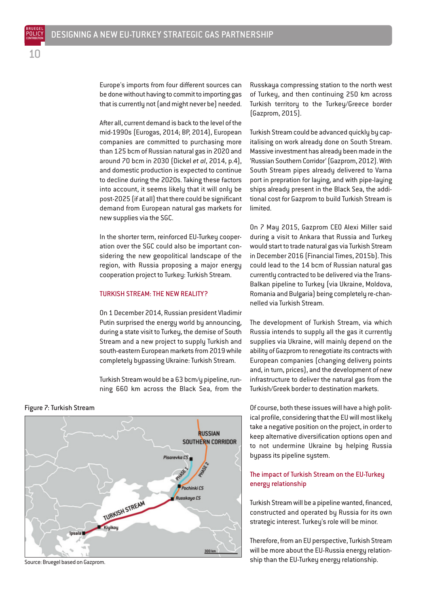Europe's imports from four different sources can be done without having to commit to importing gas that is currently not (and might never be) needed.

After all, current demand is back to the level of the mid-1990s (Eurogas, 2014; BP, 2014), European companies are committed to purchasing more than 125 bcm of Russian natural gas in 2020 and around 70 bcm in 2030 (Dickel *et al*, 2014, p.4), and domestic production is expected to continue to decline during the 2020s. Taking these factors into account, it seems likely that it will only be post-2025 (if at all) that there could be significant demand from European natural gas markets for new supplies via the SGC.

In the shorter term, reinforced EU-Turkey cooperation over the SGC could also be important considering the new geopolitical landscape of the region, with Russia proposing a major energy cooperation project to Turkey: Turkish Stream.

#### TURKISH STREAM: THE NEW REALITY?

On 1 December 2014, Russian president Vladimir Putin surprised the energy world by announcing, during a state visit to Turkey, the demise of South Stream and a new project to supply Turkish and south-eastern European markets from 2019 while completely bypassing Ukraine: Turkish Stream.

Turkish Stream would be a 63 bcm/y pipeline, running 660 km across the Black Sea, from the Russkaya compressing station to the north west of Turkey, and then continuing 250 km across Turkish territory to the Turkey/Greece border (Gazprom, 2015).

Turkish Stream could be advanced quickly by capitalising on work already done on South Stream. Massive investment has already been made in the 'Russian Southern Corridor' (Gazprom, 2012). With South Stream pipes already delivered to Varna port in prepration for laying, and with pipe-laying ships already present in the Black Sea, the additional cost for Gazprom to build Turkish Stream is limited.

On 7 May 2015, Gazprom CEO Alexi Miller said during a visit to Ankara that Russia and Turkey would start to trade natural gas via Turkish Stream in December 2016 (Financial Times, 2015b). This could lead to the 14 bcm of Russian natural gas currently contracted to be delivered via the Trans-Balkan pipeline to Turkey (via Ukraine, Moldova, Romania and Bulgaria) being completely re-channelled via Turkish Stream.

The development of Turkish Stream, via which Russia intends to supply all the gas it currently supplies via Ukraine, will mainly depend on the ability of Gazprom to renegotiate its contracts with European companies (changing delivery points and, in turn, prices), and the development of new infrastructure to deliver the natural gas from the Turkish/Greek border to destination markets.

Of course, both these issues will have a high political profile, considering that the EU will most likely take a negative position on the project, in order to keep alternative diversification options open and to not undermine Ukraine by helping Russia bypass its pipeline system.

#### The impact of Turkish Stream on the EU-Turkey energy relationship

Turkish Stream will be a pipeline wanted, financed, constructed and operated by Russia for its own strategic interest. Turkey's role will be minor.

Therefore, from an EU perspective, Turkish Stream will be more about the EU-Russia energy relationship than the EU-Turkey energy relationship.

Figure 7: Turkish Stream

**RUSSIAN** SOUTHERN CORRIDOR Pisarevka CS Pochinki CS TURKISH STREAM Russkaya CS Kiyikov losala **D** 

Source: Bruegel based on Gazprom.

 $1<sup>0</sup>$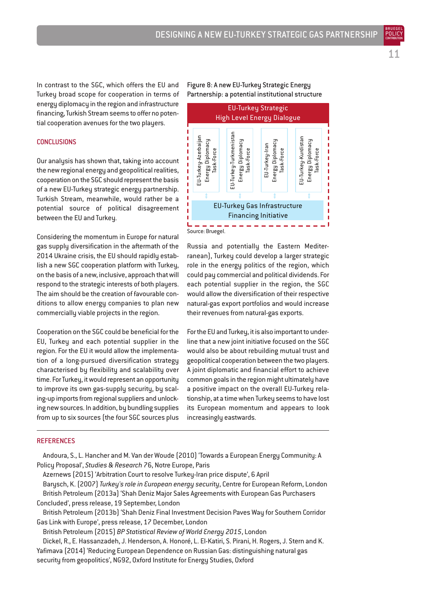BRUEGEL

In contrast to the SGC, which offers the EU and Turkey broad scope for cooperation in terms of energy diplomacy in the region and infrastructure financing, Turkish Stream seems to offer no potential cooperation avenues for the two players.

#### **CONCLUSIONS**

Our analysis has shown that, taking into account the new regional energy and geopolitical realities, cooperation on the SGC should represent the basis of a new EU-Turkey strategic energy partnership. Turkish Stream, meanwhile, would rather be a potential source of political disagreement between the EU and Turkey.

Considering the momentum in Europe for natural gas supply diversification in the aftermath of the 2014 Ukraine crisis, the EU should rapidly establish a new SGC cooperation platform with Turkey, on the basis of a new, inclusive, approach that will respond to the strategic interests of both players. The aim should be the creation of favourable conditions to allow energy companies to plan new commercially viable projects in the region.

Cooperation on the SGC could be beneficial for the EU, Turkey and each potential supplier in the region. For the EU it would allow the implementation of a long-pursued diversification strategy characterised by flexibility and scalability over time. For Turkey, it would represent an opportunity to improve its own gas-supply security, by scaling-up imports from regional suppliers and unlocking new sources. In addition, by bundling supplies from up to six sources (the four SGC sources plus

#### Figure 8: A new EU-Turkey Strategic Energy Partnership: a potential institutional structure



Russia and potentially the Eastern Mediterranean), Turkey could develop a larger strategic role in the energy politics of the region, which could pay commercial and political dividends. For each potential supplier in the region, the SGC would allow the diversification of their respective natural-gas export portfolios and would increase their revenues from natural-gas exports.

For the EU and Turkey, it is also important to underline that a new joint initiative focused on the SGC would also be about rebuilding mutual trust and geopolitical cooperation between the two players. A joint diplomatic and financial effort to achieve common goals in the region might ultimately have a positive impact on the overall EU-Turkey relationship, at a time when Turkey seems to have lost its European momentum and appears to look increasingly eastwards.

#### **REFERENCES**

Andoura, S., L. Hancher and M. Van der Woude (2010) 'Towards a European Energy Community: A Policy Proposal', *Studies & Research* 76, Notre Europe, Paris

Azernews (2015) 'Arbitration Court to resolve Turkey-Iran price dispute', 6 April

Barysch, K. (2007) *Turkey's role in European energy security*, Centre for European Reform, London British Petroleum (2013a) 'Shah Deniz Major Sales Agreements with European Gas Purchasers

Concluded', press release, 19 September, London

British Petroleum (2013b) 'Shah Deniz Final Investment Decision Paves Way for Southern Corridor Gas Link with Europe', press release, 17 December, London

British Petroleum (2015) *BP Statistical Review of World Energy 2015*, London

Dickel, R., E. Hassanzadeh, J. Henderson, A. Honoré, L. El-Katiri, S. Pirani, H. Rogers, J. Stern and K. Yafimava (2014) 'Reducing European Dependence on Russian Gas: distinguishing natural gas

security from geopolitics', NG92, Oxford Institute for Energy Studies, Oxford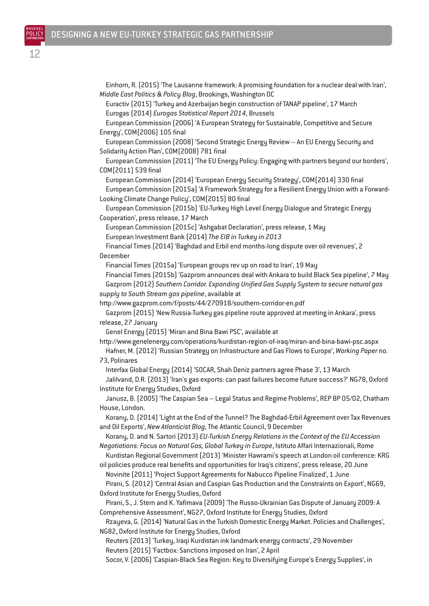Einhorn, R. (2015) 'The Lausanne framework: A promising foundation for a nuclear deal with Iran', *Middle East Politics & Policy Blog*, Brookings, Washington DC Euractiv (2015) 'Turkey and Azerbaijan begin construction of TANAP pipeline', 17 March

Eurogas (2014) *Eurogas Statistical Report 2014*, Brussels

European Commission (2006) 'A European Strategy for Sustainable, Competitive and Secure Energy', COM(2006) 105 final

European Commission (2008) 'Second Strategic Energy Review – An EU Energy Security and Solidarity Action Plan', COM(2008) 781 final

European Commission (2011) 'The EU Energy Policy: Engaging with partners beyond our borders', COM(2011) 539 final

European Commission (2014) 'European Energy Security Strategy', COM(2014) 330 final European Commission (2015a) 'A Framework Strategy for a Resilient Energy Union with a Forward-Looking Climate Change Policy', COM(2015) 80 final

European Commission (2015b) 'EU-Turkey High Level Energy Dialogue and Strategic Energy Cooperation', press release, 17 March

European Commission (2015c) 'Ashgabat Declaration', press release, 1 May

European Investment Bank (2014) *The EIB in Turkey in 2013*

Financial Times (2014) 'Baghdad and Erbil end months-long dispute over oil revenues', 2 December

Financial Times (2015a) 'European groups rev up on road to Iran', 19 May

Financial Times (2015b) 'Gazprom announces deal with Ankara to build Black Sea pipeline', 7 May Gazprom (2012) *Southern Corridor. Expanding Unified Gas Supply System to secure natural gas*

*supply to South Stream gas pipeline*, available at

http://www.gazprom.com/f/posts/44/270918/southern-corridor-en.pdf

Gazprom (2015) 'New Russia-Turkey gas pipeline route approved at meeting in Ankara', press release, 27 January

Genel Energy (2015) 'Miran and Bina Bawi PSC', available at

http://www.genelenergy.com/operations/kurdistan-region-of-iraq/miran-and-bina-bawi-psc.aspx

Hafner, M. (2012) 'Russian Strategy on Infrastructure and Gas Flows to Europe', *Working Paper* no. 73, Polinares

Interfax Global Energy (2014) 'SOCAR, Shah Deniz partners agree Phase 3', 13 March

Jalilvand, D.R. (2013) 'Iran's gas exports: can past failures become future success?' NG78, Oxford Institute for Energy Studies, Oxford

Janusz, B. (2005) 'The Caspian Sea – Legal Status and Regime Problems', REP BP 05/02, Chatham House, London.

Korany, D. (2014) 'Light at the End of the Tunnel? The Baghdad-Erbil Agreement over Tax Revenues and Oil Exports', *New Atlanticist Blog*, The Atlantic Council, 9 December

Korany, D. and N. Sartori (2013) *EU-Turkish Energy Relations in the Context of the EU Accession Negotiations: Focus on Natural Gas, Global Turkey in Europe*, Istituto Affari Internazionali, Rome

Kurdistan Regional Government (2013) 'Minister Hawrami's speech at London oil conference: KRG oil policies produce real benefits and opportunities for Iraq's citizens', press release, 20 June

Novinite (2011) 'Project Support Agreements for Nabucco Pipeline Finalized', 1 June Pirani, S. (2012) 'Central Asian and Caspian Gas Production and the Constraints on Export', NG69,

Oxford Institute for Energy Studies, Oxford

Pirani, S., J. Stern and K. Yafimava (2009) 'The Russo-Ukrainian Gas Dispute of January 2009: A Comprehensive Assessment', NG27, Oxford Institute for Energy Studies, Oxford

Rzayeva, G. (2014) 'Natural Gas in the Turkish Domestic Energy Market. Policies and Challenges', NG82, Oxford Institute for Energy Studies, Oxford

Reuters (2013) 'Turkey, Iraqi Kurdistan ink landmark energy contracts', 29 November

Reuters (2015) 'Factbox: Sanctions imposed on Iran', 2 April

Socor, V. (2006) 'Caspian-Black Sea Region: Key to Diversifying Europe's Energy Supplies', in